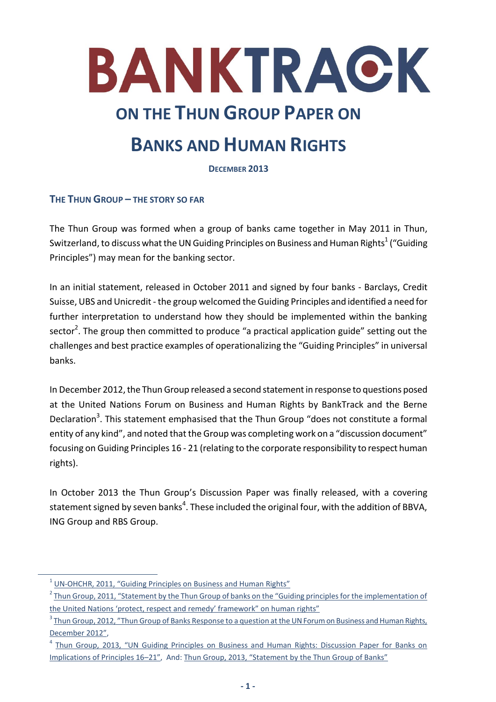

# **BANKS AND HUMAN RIGHTS**

**DECEMBER 2013**

## **THE THUN GROUP – THE STORY SO FAR**

The Thun Group was formed when a group of banks came together in May 2011 in Thun, Switzerland, to discuss what the UN Guiding Principles on Business and Human Rights $^1$  ("Guiding Principles") may mean for the banking sector.

In an initial statement, released in October 2011 and signed by four banks - Barclays, Credit Suisse, UBS and Unicredit - the group welcomed the Guiding Principles and identified a need for further interpretation to understand how they should be implemented within the banking sector<sup>2</sup>. The group then committed to produce "a practical application guide" setting out the challenges and best practice examples of operationalizing the "Guiding Principles" in universal banks.

In December 2012, the Thun Group released a second statementin response to questions posed at the United Nations Forum on Business and Human Rights by BankTrack and the Berne Declaration<sup>3</sup>. This statement emphasised that the Thun Group "does not constitute a formal entity of any kind", and noted that the Group was completing work on a "discussion document" focusing on Guiding Principles 16 - 21 (relating to the corporate responsibility to respect human rights).

In October 2013 the Thun Group's Discussion Paper was finally released, with a covering statement signed by seven banks $^4$ . These included the original four, with the addition of BBVA, ING Group and RBS Group.

1

<sup>&</sup>lt;sup>1</sup> [UN-OHCHR, 2011,](http://www.ohchr.org/Documents/Publications/GuidingPrinciplesBusinessHR_EN.pdf) ["Guiding Principles on Business and Human Rights"](http://www.ohchr.org/Documents/Publications/GuidingPrinciplesBusinessHR_EN.pdf)

<sup>&</sup>lt;sup>2</sup> [Thun Group, 2011,](http://www.business-humanrights.org/media/documents/thun-group-of-banks-statement-guiding-principles-19-oct-2011.pdf) "Statement by the Thun Group of banks on the "Guiding principles for the implementation of [the United Nations 'protect, respect and remedy' framework" on human rights"](http://www.business-humanrights.org/media/documents/thun-group-of-banks-statement-guiding-principles-19-oct-2011.pdf)

<sup>&</sup>lt;sup>3</sup> Thun Group, 2012, "Thun Group of Banks Response to a question at the UN Forum on Business and Human Rights<u>,</u> [December 2012"](http://www.ohchr.org/Documents/Issues/Business/ForumSession1/SubmissionsStatements/ThunGroup.pdf),

<sup>&</sup>lt;sup>4</sup> Thun Group, 2013, "UN Guiding Principles on Business and Human Rights: Discussion Paper for Banks on [Implications of Principles 16](http://www.business-humanrights.org/media/documents/thun-group-discussion-paper-final-2-oct-2013.pdf)–21", And: [Thun Group, 2013, "Statement by the Thun Group of Banks"](http://www.business-humanrights.org/media/documents/thun_group_statement_final_2_oct_2013.pdf)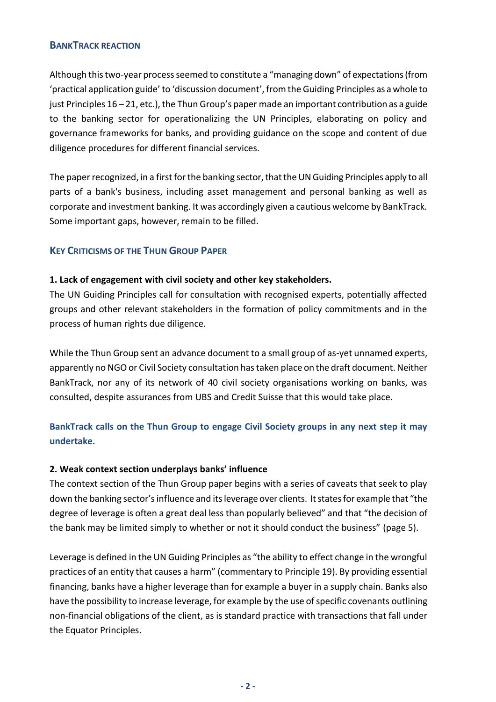#### **BANKTRACK REACTION**

Although this two-year process seemed to constitute a "managing down" of expectations (from 'practical application guide' to 'discussion document', from the Guiding Principles as a whole to just Principles 16 – 21, etc.), the Thun Group's paper made an important contribution as a guide to the banking sector for operationalizing the UN Principles, elaborating on policy and governance frameworks for banks, and providing guidance on the scope and content of due diligence procedures for different financial services.

The paper recognized, in a first for the banking sector, that the UN Guiding Principles apply to all parts of a bank's business, including asset management and personal banking as well as corporate and investment banking. It was accordingly given a cautious welcome by BankTrack. Some important gaps, however, remain to be filled.

## **KEY CRITICISMS OF THE THUN GROUP PAPER**

### **1. Lack of engagement with civil society and other key stakeholders.**

The UN Guiding Principles call for consultation with recognised experts, potentially affected groups and other relevant stakeholders in the formation of policy commitments and in the process of human rights due diligence.

While the Thun Group sent an advance document to a small group of as-yet unnamed experts, apparently no NGO or Civil Society consultation has taken place on the draft document. Neither BankTrack, nor any of its network of 40 civil society organisations working on banks, was consulted, despite assurances from UBS and Credit Suisse that this would take place.

## **BankTrack calls on the Thun Group to engage Civil Society groups in any next step it may undertake.**

#### **2. Weak context section underplays banks' influence**

The context section of the Thun Group paper begins with a series of caveats that seek to play down the banking sector's influence and its leverage over clients. It states for example that "the degree of leverage is often a great deal less than popularly believed" and that "the decision of the bank may be limited simply to whether or not it should conduct the business" (page 5).

Leverage is defined in the UN Guiding Principles as "the ability to effect change in the wrongful practices of an entity that causes a harm" (commentary to Principle 19). By providing essential financing, banks have a higher leverage than for example a buyer in a supply chain. Banks also have the possibility to increase leverage, for example by the use of specific covenants outlining non-financial obligations of the client, as is standard practice with transactions that fall under the Equator Principles.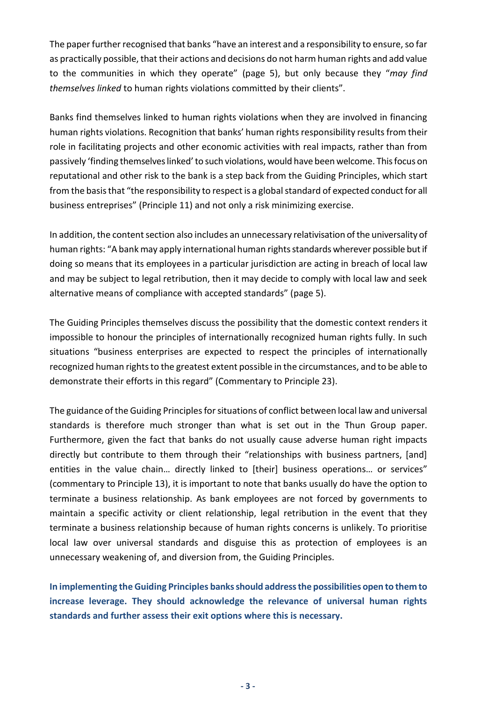The paper further recognised that banks "have an interest and a responsibility to ensure, so far as practically possible, that their actions and decisions do not harm human rights and add value to the communities in which they operate" (page 5), but only because they "*may find themselves linked* to human rights violations committed by their clients".

Banks find themselves linked to human rights violations when they are involved in financing human rights violations. Recognition that banks' human rights responsibility results from their role in facilitating projects and other economic activities with real impacts, rather than from passively 'finding themselves linked' to such violations, would have been welcome. This focus on reputational and other risk to the bank is a step back from the Guiding Principles, which start from the basis that "the responsibility to respect is a global standard of expected conduct for all business entreprises" (Principle 11) and not only a risk minimizing exercise.

In addition, the content section also includes an unnecessary relativisation of the universality of human rights: "A bank may apply international human rights standards wherever possible but if doing so means that its employees in a particular jurisdiction are acting in breach of local law and may be subject to legal retribution, then it may decide to comply with local law and seek alternative means of compliance with accepted standards" (page 5).

The Guiding Principles themselves discuss the possibility that the domestic context renders it impossible to honour the principles of internationally recognized human rights fully. In such situations "business enterprises are expected to respect the principles of internationally recognized human rights to the greatest extent possible in the circumstances, and to be able to demonstrate their efforts in this regard" (Commentary to Principle 23).

The guidance of the Guiding Principles for situations of conflict between local law and universal standards is therefore much stronger than what is set out in the Thun Group paper. Furthermore, given the fact that banks do not usually cause adverse human right impacts directly but contribute to them through their "relationships with business partners, [and] entities in the value chain... directly linked to [their] business operations... or services" (commentary to Principle 13), it is important to note that banks usually do have the option to terminate a business relationship. As bank employees are not forced by governments to maintain a specific activity or client relationship, legal retribution in the event that they terminate a business relationship because of human rights concerns is unlikely. To prioritise local law over universal standards and disguise this as protection of employees is an unnecessary weakening of, and diversion from, the Guiding Principles.

**In implementing the Guiding Principles banks should address the possibilities open to them to increase leverage. They should acknowledge the relevance of universal human rights standards and further assess their exit options where this is necessary.**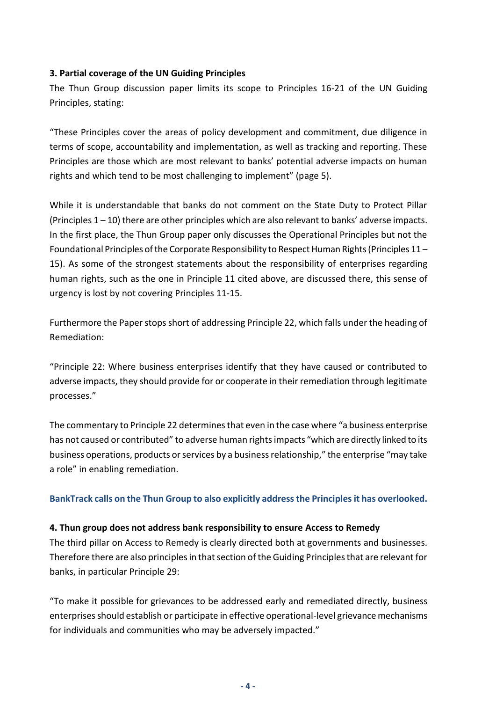## **3. Partial coverage of the UN Guiding Principles**

The Thun Group discussion paper limits its scope to Principles 16-21 of the UN Guiding Principles, stating:

"These Principles cover the areas of policy development and commitment, due diligence in terms of scope, accountability and implementation, as well as tracking and reporting. These Principles are those which are most relevant to banks' potential adverse impacts on human rights and which tend to be most challenging to implement" (page 5).

While it is understandable that banks do not comment on the State Duty to Protect Pillar (Principles  $1 - 10$ ) there are other principles which are also relevant to banks' adverse impacts. In the first place, the Thun Group paper only discusses the Operational Principles but not the Foundational Principles of the Corporate Responsibility to Respect Human Rights (Principles 11 – 15). As some of the strongest statements about the responsibility of enterprises regarding human rights, such as the one in Principle 11 cited above, are discussed there, this sense of urgency is lost by not covering Principles 11-15.

Furthermore the Paper stops short of addressing Principle 22, which falls under the heading of Remediation:

"Principle 22: Where business enterprises identify that they have caused or contributed to adverse impacts, they should provide for or cooperate in their remediation through legitimate processes."

The commentary to Principle 22 determines that even in the case where "a business enterprise has not caused or contributed" to adverse human rights impacts "which are directly linked to its business operations, products or services by a business relationship," the enterprise "may take a role" in enabling remediation.

**BankTrack calls on the Thun Group to also explicitly address the Principles it has overlooked.**

#### **4. Thun group does not address bank responsibility to ensure Access to Remedy**

The third pillar on Access to Remedy is clearly directed both at governments and businesses. Therefore there are also principles in that section of the Guiding Principles that are relevant for banks, in particular Principle 29:

"To make it possible for grievances to be addressed early and remediated directly, business enterprises should establish or participate in effective operational-level grievance mechanisms for individuals and communities who may be adversely impacted."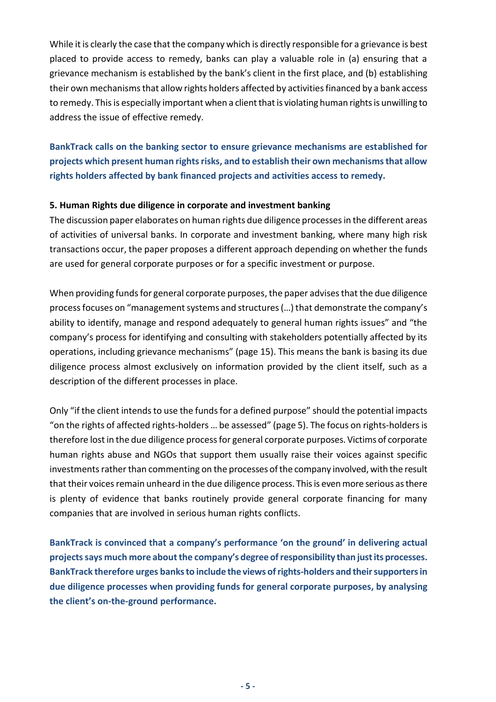While it is clearly the case that the company which is directly responsible for a grievance is best placed to provide access to remedy, banks can play a valuable role in (a) ensuring that a grievance mechanism is established by the bank's client in the first place, and (b) establishing their own mechanisms that allow rights holders affected by activities financed by a bank access to remedy. This is especially important when a client that is violating human rights is unwilling to address the issue of effective remedy.

**BankTrack calls on the banking sector to ensure grievance mechanisms are established for projects which present human rights risks, and to establish their own mechanisms that allow rights holders affected by bank financed projects and activities access to remedy.**

#### **5. Human Rights due diligence in corporate and investment banking**

The discussion paper elaborates on human rights due diligence processes in the different areas of activities of universal banks. In corporate and investment banking, where many high risk transactions occur, the paper proposes a different approach depending on whether the funds are used for general corporate purposes or for a specific investment or purpose.

When providing funds for general corporate purposes, the paper advises that the due diligence process focuses on "management systems and structures (…) that demonstrate the company's ability to identify, manage and respond adequately to general human rights issues" and "the company's process for identifying and consulting with stakeholders potentially affected by its operations, including grievance mechanisms" (page 15). This means the bank is basing its due diligence process almost exclusively on information provided by the client itself, such as a description of the different processes in place.

Only "if the client intends to use the funds for a defined purpose" should the potential impacts "on the rights of affected rights-holders … be assessed" (page 5). The focus on rights-holders is therefore lost in the due diligence process for general corporate purposes. Victims of corporate human rights abuse and NGOs that support them usually raise their voices against specific investments rather than commenting on the processes of the company involved, with the result that their voices remain unheard in the due diligence process. This is even more serious as there is plenty of evidence that banks routinely provide general corporate financing for many companies that are involved in serious human rights conflicts.

**BankTrack is convinced that a company's performance 'on the ground' in delivering actual projects says much more about the company's degree of responsibility than just its processes. BankTrack therefore urges banks to include the views of rights-holders and their supporters in due diligence processes when providing funds for general corporate purposes, by analysing the client's on-the-ground performance.**